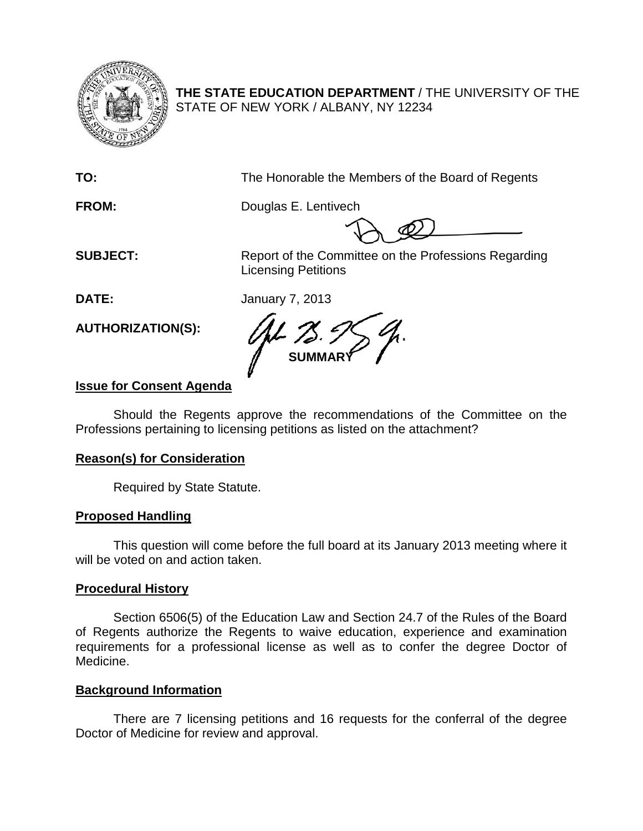

**THE STATE EDUCATION DEPARTMENT** / THE UNIVERSITY OF THE STATE OF NEW YORK / ALBANY, NY 12234

**TO:** The Honorable the Members of the Board of Regents

**FROM:** Douglas E. Lentivech

**SUBJECT:** Report of the Committee on the Professions Regarding Licensing Petitions

**DATE:** January 7, 2013

**AUTHORIZATION(S):**

**SUMMARY**

# **Issue for Consent Agenda**

Should the Regents approve the recommendations of the Committee on the Professions pertaining to licensing petitions as listed on the attachment?

# **Reason(s) for Consideration**

Required by State Statute.

# **Proposed Handling**

This question will come before the full board at its January 2013 meeting where it will be voted on and action taken.

## **Procedural History**

Section 6506(5) of the Education Law and Section 24.7 of the Rules of the Board of Regents authorize the Regents to waive education, experience and examination requirements for a professional license as well as to confer the degree Doctor of Medicine.

# **Background Information**

There are 7 licensing petitions and 16 requests for the conferral of the degree Doctor of Medicine for review and approval.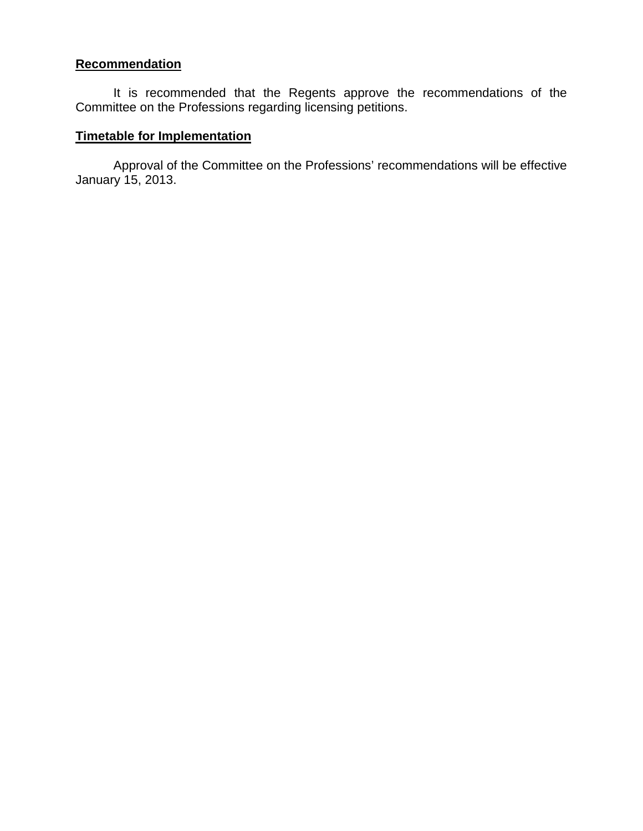### **Recommendation**

It is recommended that the Regents approve the recommendations of the Committee on the Professions regarding licensing petitions.

### **Timetable for Implementation**

Approval of the Committee on the Professions' recommendations will be effective January 15, 2013.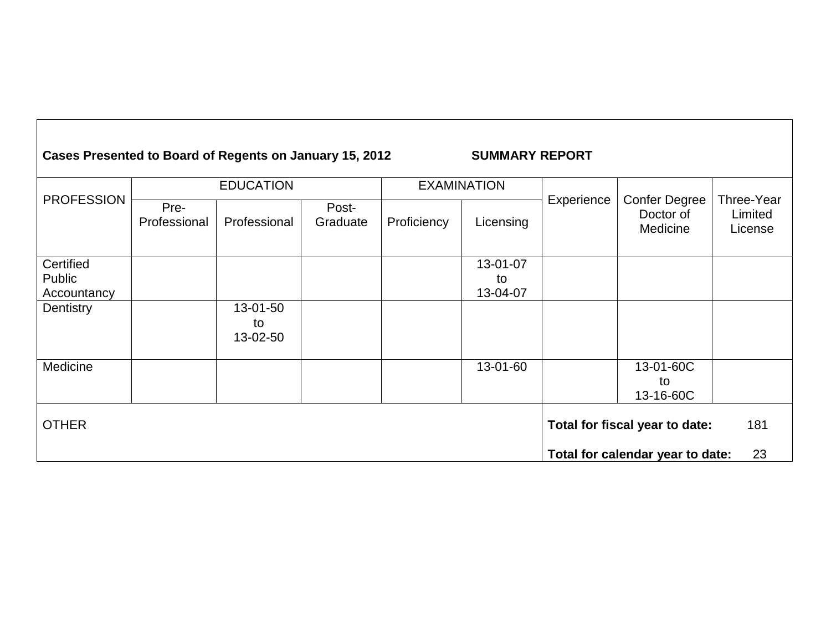# **Cases Presented to Board of Regents on January 15, 2012 SUMMARY REPORT**

|                     |                      | <b>EDUCATION</b> |                   |             | <b>EXAMINATION</b> |            |                                               |                                  |
|---------------------|----------------------|------------------|-------------------|-------------|--------------------|------------|-----------------------------------------------|----------------------------------|
| <b>PROFESSION</b>   | Pre-<br>Professional | Professional     | Post-<br>Graduate | Proficiency | Licensing          | Experience | <b>Confer Degree</b><br>Doctor of<br>Medicine | Three-Year<br>Limited<br>License |
| Certified<br>Public |                      |                  |                   |             | 13-01-07<br>to     |            |                                               |                                  |
| Accountancy         |                      |                  |                   |             | 13-04-07           |            |                                               |                                  |
| Dentistry           |                      | 13-01-50<br>to   |                   |             |                    |            |                                               |                                  |
|                     |                      | 13-02-50         |                   |             |                    |            |                                               |                                  |
| Medicine            |                      |                  |                   |             | 13-01-60           |            | 13-01-60C                                     |                                  |
|                     |                      |                  |                   |             |                    |            | to<br>13-16-60C                               |                                  |
| <b>OTHER</b>        |                      |                  |                   |             |                    |            | Total for fiscal year to date:                | 181                              |
|                     |                      |                  |                   |             |                    |            | Total for calendar year to date:              | 23                               |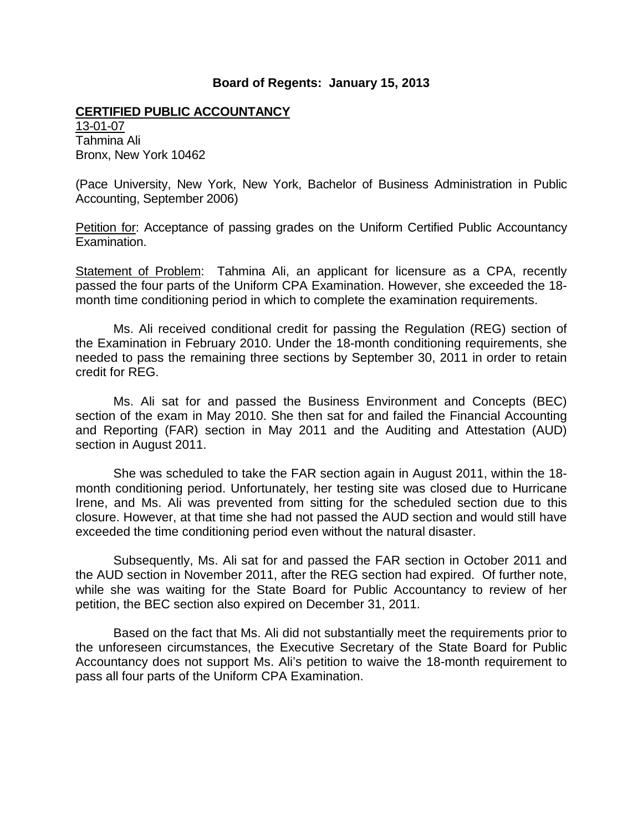#### **CERTIFIED PUBLIC ACCOUNTANCY**

13-01-07 Tahmina Ali Bronx, New York 10462

(Pace University, New York, New York, Bachelor of Business Administration in Public Accounting, September 2006)

Petition for: Acceptance of passing grades on the Uniform Certified Public Accountancy Examination.

Statement of Problem: Tahmina Ali, an applicant for licensure as a CPA, recently passed the four parts of the Uniform CPA Examination. However, she exceeded the 18 month time conditioning period in which to complete the examination requirements.

Ms. Ali received conditional credit for passing the Regulation (REG) section of the Examination in February 2010. Under the 18-month conditioning requirements, she needed to pass the remaining three sections by September 30, 2011 in order to retain credit for REG.

Ms. Ali sat for and passed the Business Environment and Concepts (BEC) section of the exam in May 2010. She then sat for and failed the Financial Accounting and Reporting (FAR) section in May 2011 and the Auditing and Attestation (AUD) section in August 2011.

She was scheduled to take the FAR section again in August 2011, within the 18 month conditioning period. Unfortunately, her testing site was closed due to Hurricane Irene, and Ms. Ali was prevented from sitting for the scheduled section due to this closure. However, at that time she had not passed the AUD section and would still have exceeded the time conditioning period even without the natural disaster.

Subsequently, Ms. Ali sat for and passed the FAR section in October 2011 and the AUD section in November 2011, after the REG section had expired. Of further note, while she was waiting for the State Board for Public Accountancy to review of her petition, the BEC section also expired on December 31, 2011.

Based on the fact that Ms. Ali did not substantially meet the requirements prior to the unforeseen circumstances, the Executive Secretary of the State Board for Public Accountancy does not support Ms. Ali's petition to waive the 18-month requirement to pass all four parts of the Uniform CPA Examination.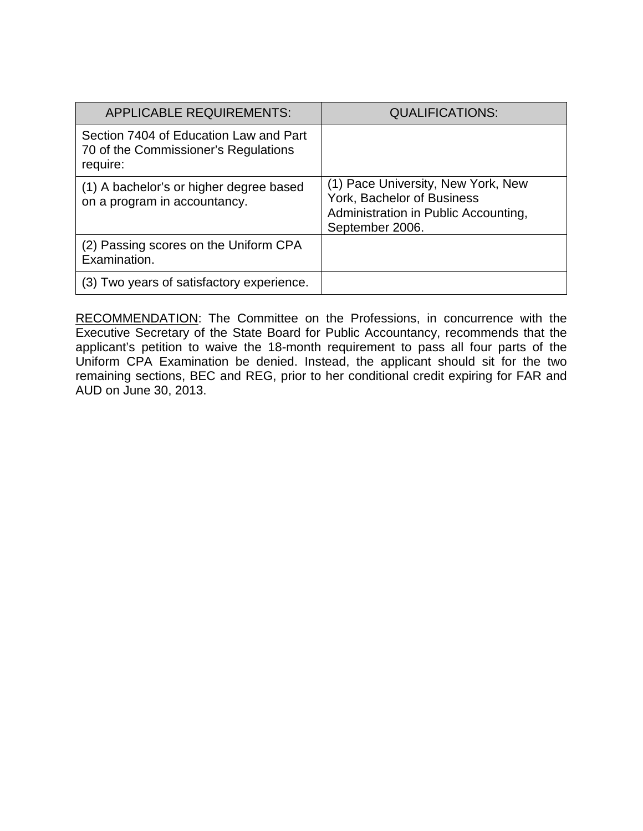| <b>APPLICABLE REQUIREMENTS:</b>                                                            | <b>QUALIFICATIONS:</b>                                                                                                      |
|--------------------------------------------------------------------------------------------|-----------------------------------------------------------------------------------------------------------------------------|
| Section 7404 of Education Law and Part<br>70 of the Commissioner's Regulations<br>require: |                                                                                                                             |
| (1) A bachelor's or higher degree based<br>on a program in accountancy.                    | (1) Pace University, New York, New<br>York, Bachelor of Business<br>Administration in Public Accounting,<br>September 2006. |
| (2) Passing scores on the Uniform CPA<br>Examination.                                      |                                                                                                                             |
| (3) Two years of satisfactory experience.                                                  |                                                                                                                             |

RECOMMENDATION: The Committee on the Professions, in concurrence with the Executive Secretary of the State Board for Public Accountancy, recommends that the applicant's petition to waive the 18-month requirement to pass all four parts of the Uniform CPA Examination be denied. Instead, the applicant should sit for the two remaining sections, BEC and REG, prior to her conditional credit expiring for FAR and AUD on June 30, 2013.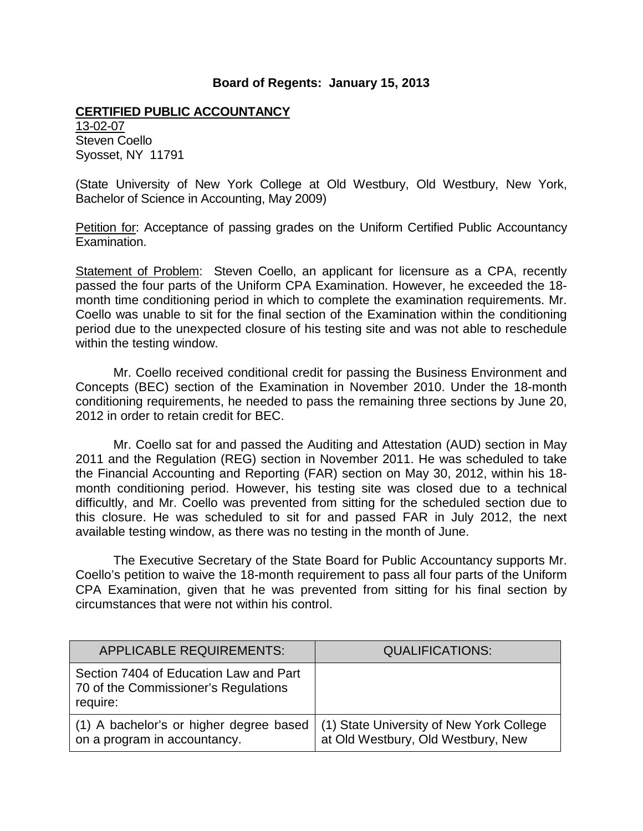#### **CERTIFIED PUBLIC ACCOUNTANCY**

13-02-07 Steven Coello Syosset, NY 11791

(State University of New York College at Old Westbury, Old Westbury, New York, Bachelor of Science in Accounting, May 2009)

Petition for: Acceptance of passing grades on the Uniform Certified Public Accountancy Examination.

Statement of Problem: Steven Coello, an applicant for licensure as a CPA, recently passed the four parts of the Uniform CPA Examination. However, he exceeded the 18 month time conditioning period in which to complete the examination requirements. Mr. Coello was unable to sit for the final section of the Examination within the conditioning period due to the unexpected closure of his testing site and was not able to reschedule within the testing window.

Mr. Coello received conditional credit for passing the Business Environment and Concepts (BEC) section of the Examination in November 2010. Under the 18-month conditioning requirements, he needed to pass the remaining three sections by June 20, 2012 in order to retain credit for BEC.

Mr. Coello sat for and passed the Auditing and Attestation (AUD) section in May 2011 and the Regulation (REG) section in November 2011. He was scheduled to take the Financial Accounting and Reporting (FAR) section on May 30, 2012, within his 18 month conditioning period. However, his testing site was closed due to a technical difficultly, and Mr. Coello was prevented from sitting for the scheduled section due to this closure. He was scheduled to sit for and passed FAR in July 2012, the next available testing window, as there was no testing in the month of June.

The Executive Secretary of the State Board for Public Accountancy supports Mr. Coello's petition to waive the 18-month requirement to pass all four parts of the Uniform CPA Examination, given that he was prevented from sitting for his final section by circumstances that were not within his control.

| <b>APPLICABLE REQUIREMENTS:</b>                                                            | <b>QUALIFICATIONS:</b>                                                         |
|--------------------------------------------------------------------------------------------|--------------------------------------------------------------------------------|
| Section 7404 of Education Law and Part<br>70 of the Commissioner's Regulations<br>require: |                                                                                |
| (1) A bachelor's or higher degree based<br>on a program in accountancy.                    | (1) State University of New York College<br>at Old Westbury, Old Westbury, New |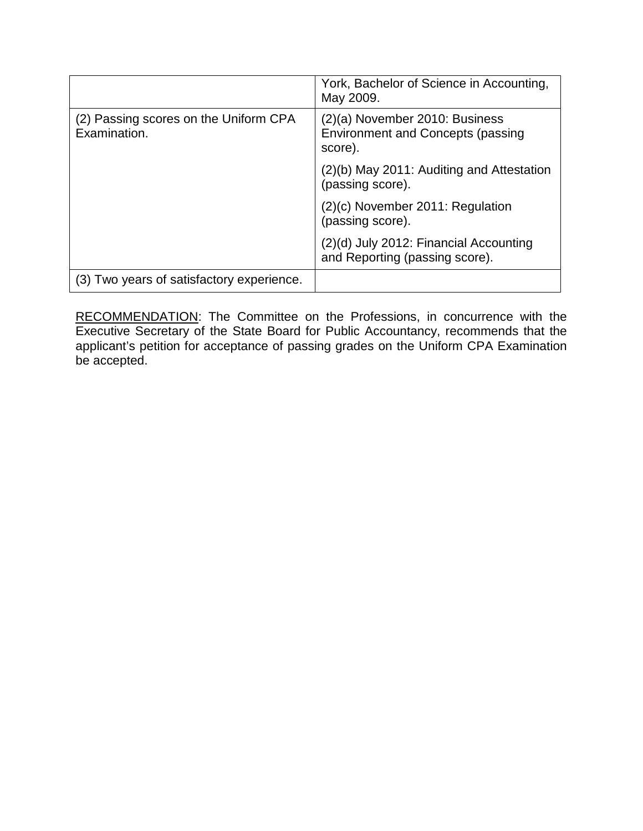|                                                       | York, Bachelor of Science in Accounting,<br>May 2009.                                 |
|-------------------------------------------------------|---------------------------------------------------------------------------------------|
| (2) Passing scores on the Uniform CPA<br>Examination. | (2)(a) November 2010: Business<br><b>Environment and Concepts (passing</b><br>score). |
|                                                       | (2)(b) May 2011: Auditing and Attestation<br>(passing score).                         |
|                                                       | $(2)(c)$ November 2011: Regulation<br>(passing score).                                |
|                                                       | (2)(d) July 2012: Financial Accounting<br>and Reporting (passing score).              |
| (3) Two years of satisfactory experience.             |                                                                                       |

RECOMMENDATION: The Committee on the Professions, in concurrence with the Executive Secretary of the State Board for Public Accountancy, recommends that the applicant's petition for acceptance of passing grades on the Uniform CPA Examination be accepted.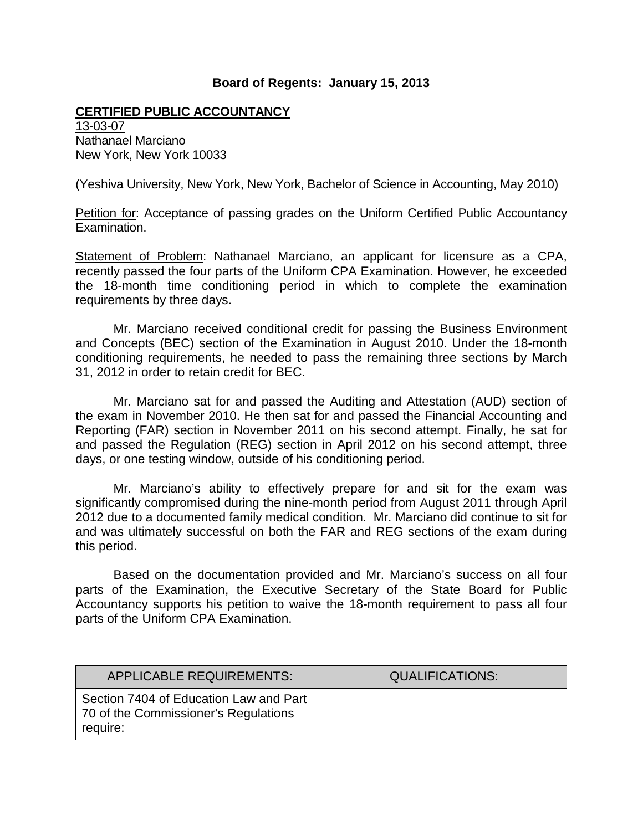#### **CERTIFIED PUBLIC ACCOUNTANCY**

13-03-07 Nathanael Marciano New York, New York 10033

(Yeshiva University, New York, New York, Bachelor of Science in Accounting, May 2010)

Petition for: Acceptance of passing grades on the Uniform Certified Public Accountancy Examination.

Statement of Problem: Nathanael Marciano, an applicant for licensure as a CPA, recently passed the four parts of the Uniform CPA Examination. However, he exceeded the 18-month time conditioning period in which to complete the examination requirements by three days.

Mr. Marciano received conditional credit for passing the Business Environment and Concepts (BEC) section of the Examination in August 2010. Under the 18-month conditioning requirements, he needed to pass the remaining three sections by March 31, 2012 in order to retain credit for BEC.

Mr. Marciano sat for and passed the Auditing and Attestation (AUD) section of the exam in November 2010. He then sat for and passed the Financial Accounting and Reporting (FAR) section in November 2011 on his second attempt. Finally, he sat for and passed the Regulation (REG) section in April 2012 on his second attempt, three days, or one testing window, outside of his conditioning period.

Mr. Marciano's ability to effectively prepare for and sit for the exam was significantly compromised during the nine-month period from August 2011 through April 2012 due to a documented family medical condition. Mr. Marciano did continue to sit for and was ultimately successful on both the FAR and REG sections of the exam during this period.

Based on the documentation provided and Mr. Marciano's success on all four parts of the Examination, the Executive Secretary of the State Board for Public Accountancy supports his petition to waive the 18-month requirement to pass all four parts of the Uniform CPA Examination.

| <b>APPLICABLE REQUIREMENTS:</b>                                                            | <b>QUALIFICATIONS:</b> |
|--------------------------------------------------------------------------------------------|------------------------|
| Section 7404 of Education Law and Part<br>70 of the Commissioner's Regulations<br>require: |                        |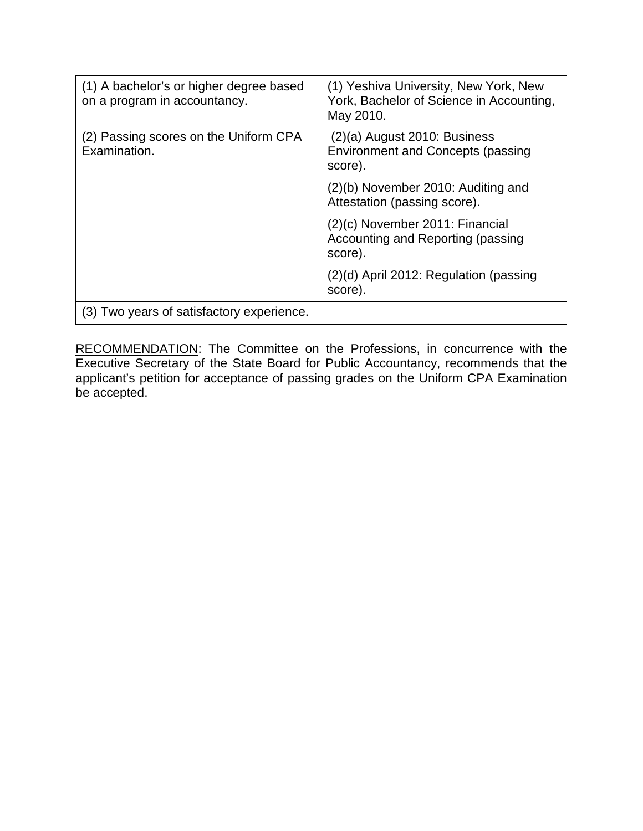| (1) A bachelor's or higher degree based<br>on a program in accountancy. | (1) Yeshiva University, New York, New<br>York, Bachelor of Science in Accounting,<br>May 2010. |
|-------------------------------------------------------------------------|------------------------------------------------------------------------------------------------|
| (2) Passing scores on the Uniform CPA<br>Examination.                   | $(2)(a)$ August 2010: Business<br><b>Environment and Concepts (passing</b><br>score).          |
|                                                                         | (2)(b) November 2010: Auditing and<br>Attestation (passing score).                             |
|                                                                         | $(2)(c)$ November 2011: Financial<br>Accounting and Reporting (passing<br>score).              |
|                                                                         | (2)(d) April 2012: Regulation (passing<br>score).                                              |
| (3) Two years of satisfactory experience.                               |                                                                                                |

RECOMMENDATION: The Committee on the Professions, in concurrence with the Executive Secretary of the State Board for Public Accountancy, recommends that the applicant's petition for acceptance of passing grades on the Uniform CPA Examination be accepted.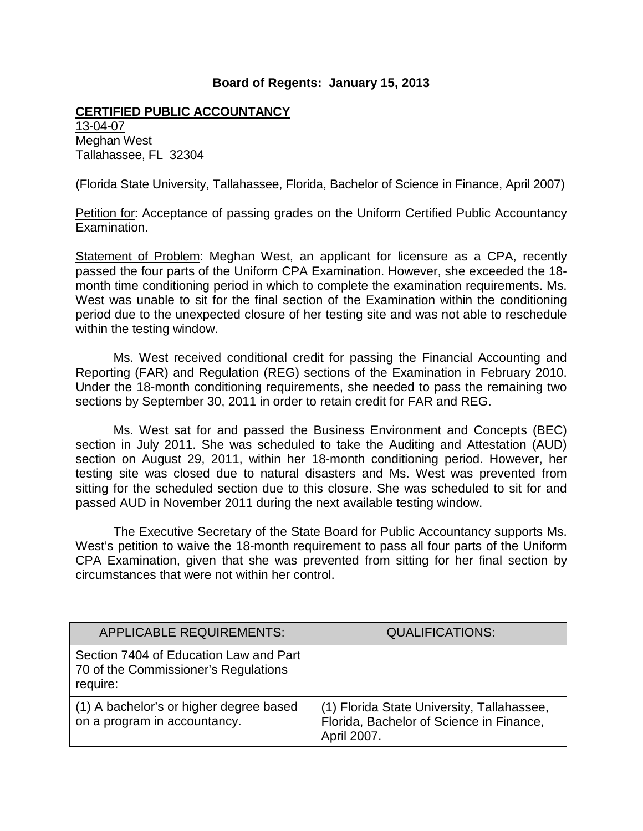#### **CERTIFIED PUBLIC ACCOUNTANCY**

13-04-07 Meghan West Tallahassee, FL 32304

(Florida State University, Tallahassee, Florida, Bachelor of Science in Finance, April 2007)

Petition for: Acceptance of passing grades on the Uniform Certified Public Accountancy Examination.

Statement of Problem: Meghan West, an applicant for licensure as a CPA, recently passed the four parts of the Uniform CPA Examination. However, she exceeded the 18 month time conditioning period in which to complete the examination requirements. Ms. West was unable to sit for the final section of the Examination within the conditioning period due to the unexpected closure of her testing site and was not able to reschedule within the testing window.

Ms. West received conditional credit for passing the Financial Accounting and Reporting (FAR) and Regulation (REG) sections of the Examination in February 2010. Under the 18-month conditioning requirements, she needed to pass the remaining two sections by September 30, 2011 in order to retain credit for FAR and REG.

Ms. West sat for and passed the Business Environment and Concepts (BEC) section in July 2011. She was scheduled to take the Auditing and Attestation (AUD) section on August 29, 2011, within her 18-month conditioning period. However, her testing site was closed due to natural disasters and Ms. West was prevented from sitting for the scheduled section due to this closure. She was scheduled to sit for and passed AUD in November 2011 during the next available testing window.

The Executive Secretary of the State Board for Public Accountancy supports Ms. West's petition to waive the 18-month requirement to pass all four parts of the Uniform CPA Examination, given that she was prevented from sitting for her final section by circumstances that were not within her control.

| <b>APPLICABLE REQUIREMENTS:</b>                                                            | <b>QUALIFICATIONS:</b>                                                                                |
|--------------------------------------------------------------------------------------------|-------------------------------------------------------------------------------------------------------|
| Section 7404 of Education Law and Part<br>70 of the Commissioner's Regulations<br>require: |                                                                                                       |
| (1) A bachelor's or higher degree based<br>on a program in accountancy.                    | (1) Florida State University, Tallahassee,<br>Florida, Bachelor of Science in Finance,<br>April 2007. |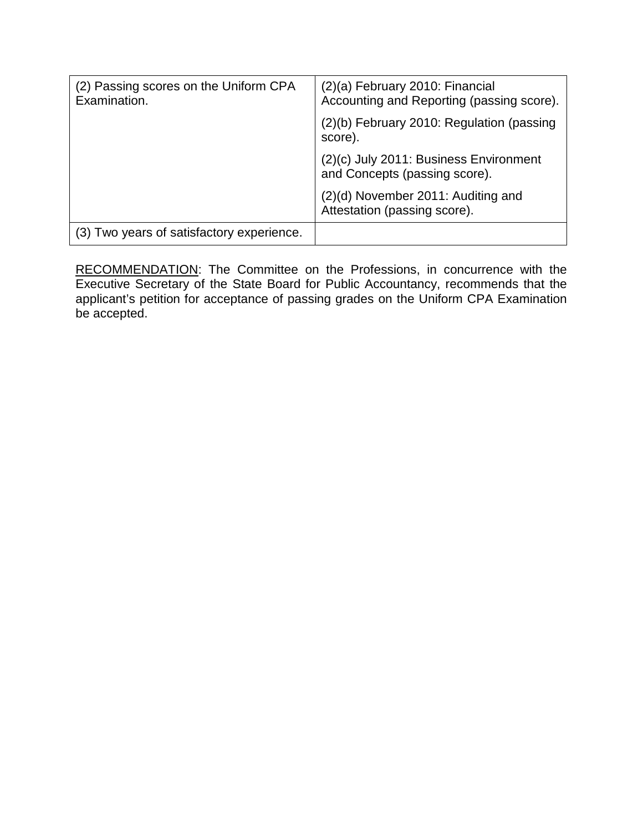| (2) Passing scores on the Uniform CPA<br>Examination. | (2)(a) February 2010: Financial<br>Accounting and Reporting (passing score). |
|-------------------------------------------------------|------------------------------------------------------------------------------|
|                                                       | (2)(b) February 2010: Regulation (passing<br>score).                         |
|                                                       | (2)(c) July 2011: Business Environment<br>and Concepts (passing score).      |
|                                                       | (2)(d) November 2011: Auditing and<br>Attestation (passing score).           |
| (3) Two years of satisfactory experience.             |                                                                              |

RECOMMENDATION: The Committee on the Professions, in concurrence with the Executive Secretary of the State Board for Public Accountancy, recommends that the applicant's petition for acceptance of passing grades on the Uniform CPA Examination be accepted.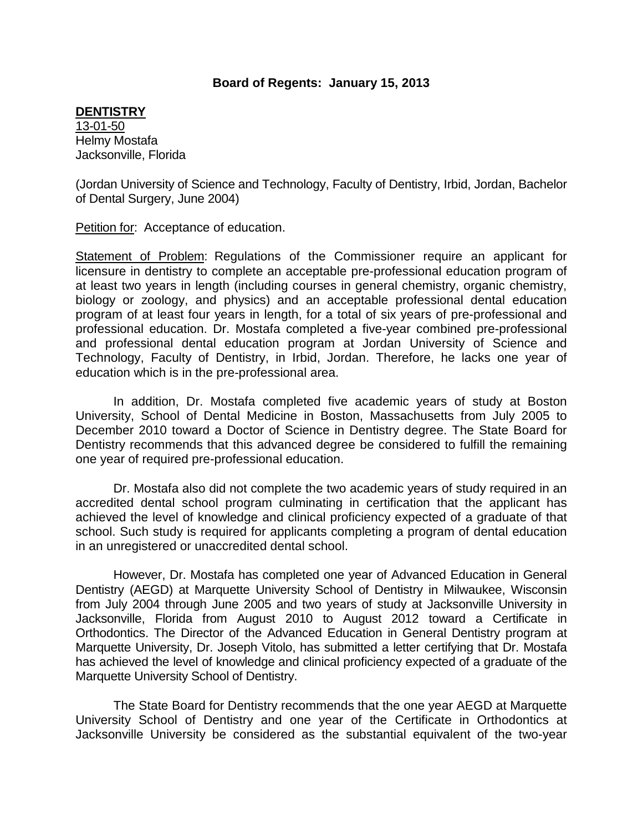#### **DENTISTRY**

13-01-50 Helmy Mostafa Jacksonville, Florida

(Jordan University of Science and Technology, Faculty of Dentistry, Irbid, Jordan, Bachelor of Dental Surgery, June 2004)

Petition for: Acceptance of education.

Statement of Problem: Regulations of the Commissioner require an applicant for licensure in dentistry to complete an acceptable pre-professional education program of at least two years in length (including courses in general chemistry, organic chemistry, biology or zoology, and physics) and an acceptable professional dental education program of at least four years in length, for a total of six years of pre-professional and professional education. Dr. Mostafa completed a five-year combined pre-professional and professional dental education program at Jordan University of Science and Technology, Faculty of Dentistry, in Irbid, Jordan. Therefore, he lacks one year of education which is in the pre-professional area.

In addition, Dr. Mostafa completed five academic years of study at Boston University, School of Dental Medicine in Boston, Massachusetts from July 2005 to December 2010 toward a Doctor of Science in Dentistry degree. The State Board for Dentistry recommends that this advanced degree be considered to fulfill the remaining one year of required pre-professional education.

Dr. Mostafa also did not complete the two academic years of study required in an accredited dental school program culminating in certification that the applicant has achieved the level of knowledge and clinical proficiency expected of a graduate of that school. Such study is required for applicants completing a program of dental education in an unregistered or unaccredited dental school.

However, Dr. Mostafa has completed one year of Advanced Education in General Dentistry (AEGD) at Marquette University School of Dentistry in Milwaukee, Wisconsin from July 2004 through June 2005 and two years of study at Jacksonville University in Jacksonville, Florida from August 2010 to August 2012 toward a Certificate in Orthodontics. The Director of the Advanced Education in General Dentistry program at Marquette University, Dr. Joseph Vitolo, has submitted a letter certifying that Dr. Mostafa has achieved the level of knowledge and clinical proficiency expected of a graduate of the Marquette University School of Dentistry.

The State Board for Dentistry recommends that the one year AEGD at Marquette University School of Dentistry and one year of the Certificate in Orthodontics at Jacksonville University be considered as the substantial equivalent of the two-year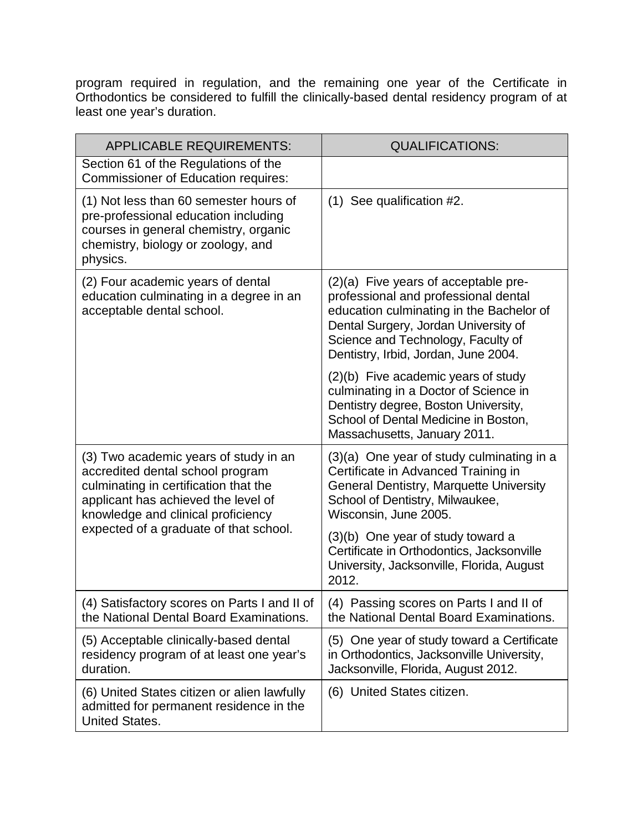program required in regulation, and the remaining one year of the Certificate in Orthodontics be considered to fulfill the clinically-based dental residency program of at least one year's duration.

| <b>APPLICABLE REQUIREMENTS:</b>                                                                                                                                                                 | <b>QUALIFICATIONS:</b>                                                                                                                                                                                                                           |
|-------------------------------------------------------------------------------------------------------------------------------------------------------------------------------------------------|--------------------------------------------------------------------------------------------------------------------------------------------------------------------------------------------------------------------------------------------------|
| Section 61 of the Regulations of the<br><b>Commissioner of Education requires:</b>                                                                                                              |                                                                                                                                                                                                                                                  |
| (1) Not less than 60 semester hours of<br>pre-professional education including<br>courses in general chemistry, organic<br>chemistry, biology or zoology, and<br>physics.                       | (1) See qualification #2.                                                                                                                                                                                                                        |
| (2) Four academic years of dental<br>education culminating in a degree in an<br>acceptable dental school.                                                                                       | $(2)(a)$ Five years of acceptable pre-<br>professional and professional dental<br>education culminating in the Bachelor of<br>Dental Surgery, Jordan University of<br>Science and Technology, Faculty of<br>Dentistry, Irbid, Jordan, June 2004. |
|                                                                                                                                                                                                 | (2)(b) Five academic years of study<br>culminating in a Doctor of Science in<br>Dentistry degree, Boston University,<br>School of Dental Medicine in Boston,<br>Massachusetts, January 2011.                                                     |
| (3) Two academic years of study in an<br>accredited dental school program<br>culminating in certification that the<br>applicant has achieved the level of<br>knowledge and clinical proficiency | (3)(a) One year of study culminating in a<br>Certificate in Advanced Training in<br><b>General Dentistry, Marquette University</b><br>School of Dentistry, Milwaukee,<br>Wisconsin, June 2005.                                                   |
| expected of a graduate of that school.                                                                                                                                                          | (3)(b) One year of study toward a<br>Certificate in Orthodontics, Jacksonville<br>University, Jacksonville, Florida, August<br>2012.                                                                                                             |
| (4) Satisfactory scores on Parts I and II of<br>the National Dental Board Examinations.                                                                                                         | (4) Passing scores on Parts I and II of<br>the National Dental Board Examinations.                                                                                                                                                               |
| (5) Acceptable clinically-based dental<br>residency program of at least one year's<br>duration.                                                                                                 | (5) One year of study toward a Certificate<br>in Orthodontics, Jacksonville University,<br>Jacksonville, Florida, August 2012.                                                                                                                   |
| (6) United States citizen or alien lawfully<br>admitted for permanent residence in the<br><b>United States.</b>                                                                                 | (6) United States citizen.                                                                                                                                                                                                                       |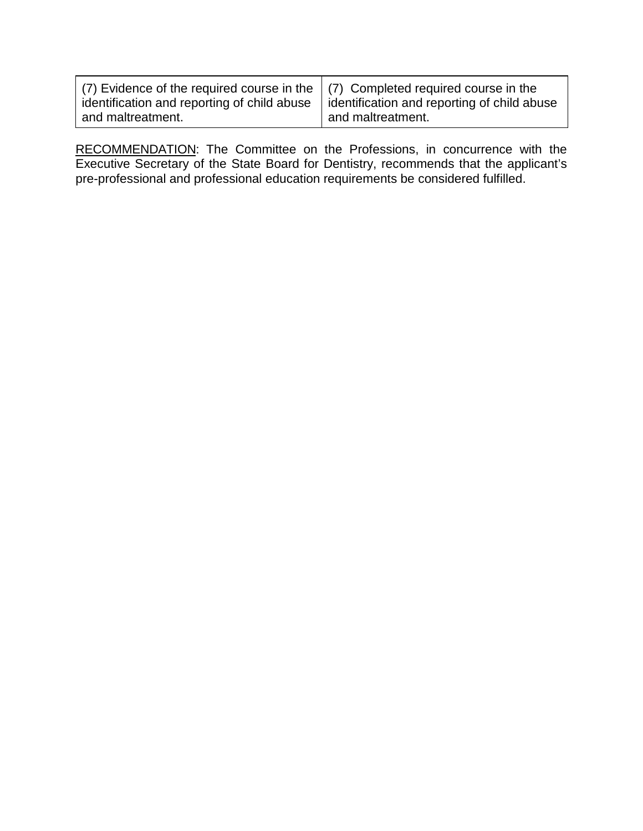| (7) Evidence of the required course in the $\mid$ (7) Completed required course in the<br>identification and reporting of child abuse | identification and reporting of child abuse |
|---------------------------------------------------------------------------------------------------------------------------------------|---------------------------------------------|
| and maltreatment.                                                                                                                     | and maltreatment.                           |

RECOMMENDATION: The Committee on the Professions, in concurrence with the Executive Secretary of the State Board for Dentistry, recommends that the applicant's pre-professional and professional education requirements be considered fulfilled.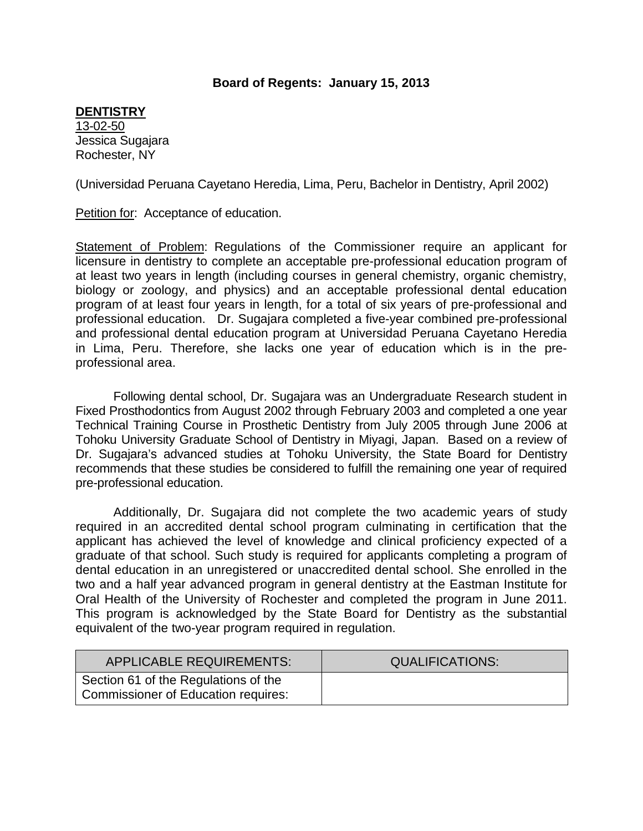#### **DENTISTRY**

13-02-50 Jessica Sugajara Rochester, NY

(Universidad Peruana Cayetano Heredia, Lima, Peru, Bachelor in Dentistry, April 2002)

Petition for: Acceptance of education.

Statement of Problem: Regulations of the Commissioner require an applicant for licensure in dentistry to complete an acceptable pre-professional education program of at least two years in length (including courses in general chemistry, organic chemistry, biology or zoology, and physics) and an acceptable professional dental education program of at least four years in length, for a total of six years of pre-professional and professional education. Dr. Sugajara completed a five-year combined pre-professional and professional dental education program at Universidad Peruana Cayetano Heredia in Lima, Peru. Therefore, she lacks one year of education which is in the preprofessional area.

Following dental school, Dr. Sugajara was an Undergraduate Research student in Fixed Prosthodontics from August 2002 through February 2003 and completed a one year Technical Training Course in Prosthetic Dentistry from July 2005 through June 2006 at Tohoku University Graduate School of Dentistry in Miyagi, Japan. Based on a review of Dr. Sugajara's advanced studies at Tohoku University, the State Board for Dentistry recommends that these studies be considered to fulfill the remaining one year of required pre-professional education.

Additionally, Dr. Sugajara did not complete the two academic years of study required in an accredited dental school program culminating in certification that the applicant has achieved the level of knowledge and clinical proficiency expected of a graduate of that school. Such study is required for applicants completing a program of dental education in an unregistered or unaccredited dental school. She enrolled in the two and a half year advanced program in general dentistry at the Eastman Institute for Oral Health of the University of Rochester and completed the program in June 2011. This program is acknowledged by the State Board for Dentistry as the substantial equivalent of the two-year program required in regulation.

| <b>APPLICABLE REQUIREMENTS:</b>                                                    | <b>QUALIFICATIONS:</b> |
|------------------------------------------------------------------------------------|------------------------|
| Section 61 of the Regulations of the<br><b>Commissioner of Education requires:</b> |                        |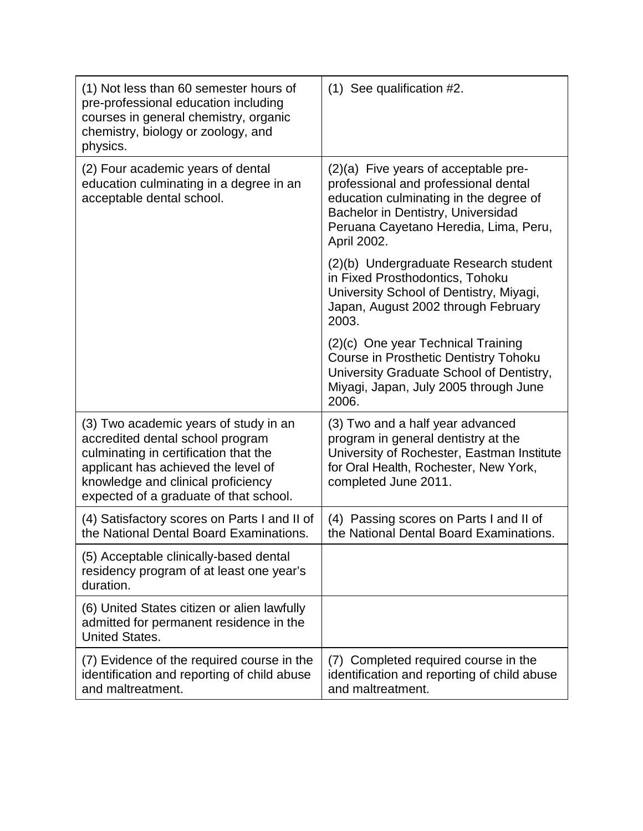| (1) Not less than 60 semester hours of<br>pre-professional education including<br>courses in general chemistry, organic<br>chemistry, biology or zoology, and<br>physics.                                                                 | $(1)$ See qualification #2.                                                                                                                                                                                            |
|-------------------------------------------------------------------------------------------------------------------------------------------------------------------------------------------------------------------------------------------|------------------------------------------------------------------------------------------------------------------------------------------------------------------------------------------------------------------------|
| (2) Four academic years of dental<br>education culminating in a degree in an<br>acceptable dental school.                                                                                                                                 | $(2)(a)$ Five years of acceptable pre-<br>professional and professional dental<br>education culminating in the degree of<br>Bachelor in Dentistry, Universidad<br>Peruana Cayetano Heredia, Lima, Peru,<br>April 2002. |
|                                                                                                                                                                                                                                           | (2)(b) Undergraduate Research student<br>in Fixed Prosthodontics, Tohoku<br>University School of Dentistry, Miyagi,<br>Japan, August 2002 through February<br>2003.                                                    |
|                                                                                                                                                                                                                                           | (2)(c) One year Technical Training<br><b>Course in Prosthetic Dentistry Tohoku</b><br>University Graduate School of Dentistry,<br>Miyagi, Japan, July 2005 through June<br>2006.                                       |
| (3) Two academic years of study in an<br>accredited dental school program<br>culminating in certification that the<br>applicant has achieved the level of<br>knowledge and clinical proficiency<br>expected of a graduate of that school. | (3) Two and a half year advanced<br>program in general dentistry at the<br>University of Rochester, Eastman Institute<br>for Oral Health, Rochester, New York,<br>completed June 2011.                                 |
| (4) Satisfactory scores on Parts I and II of<br>the National Dental Board Examinations.                                                                                                                                                   | (4) Passing scores on Parts I and II of<br>the National Dental Board Examinations.                                                                                                                                     |
| (5) Acceptable clinically-based dental<br>residency program of at least one year's<br>duration.                                                                                                                                           |                                                                                                                                                                                                                        |
| (6) United States citizen or alien lawfully<br>admitted for permanent residence in the<br><b>United States.</b>                                                                                                                           |                                                                                                                                                                                                                        |
| (7) Evidence of the required course in the<br>identification and reporting of child abuse<br>and maltreatment.                                                                                                                            | (7) Completed required course in the<br>identification and reporting of child abuse<br>and maltreatment.                                                                                                               |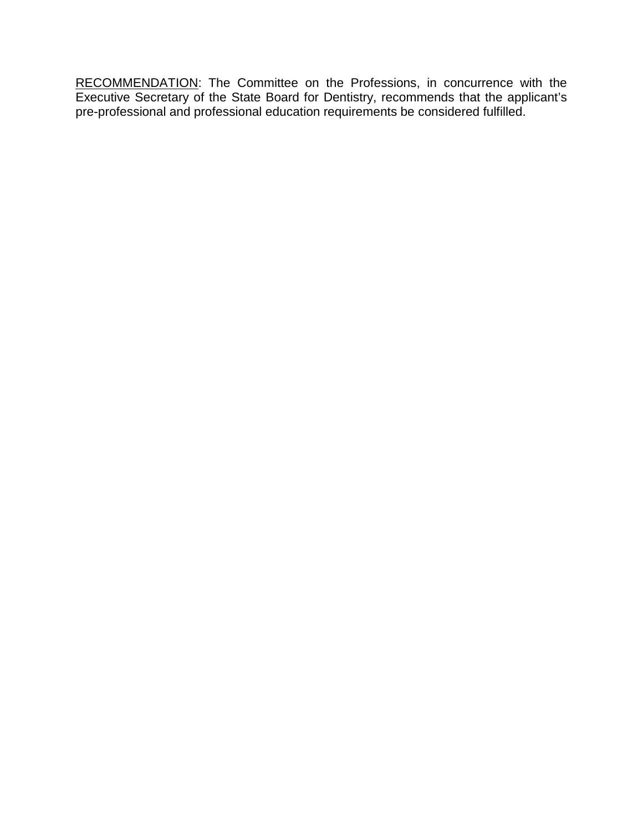RECOMMENDATION: The Committee on the Professions, in concurrence with the Executive Secretary of the State Board for Dentistry, recommends that the applicant's pre-professional and professional education requirements be considered fulfilled.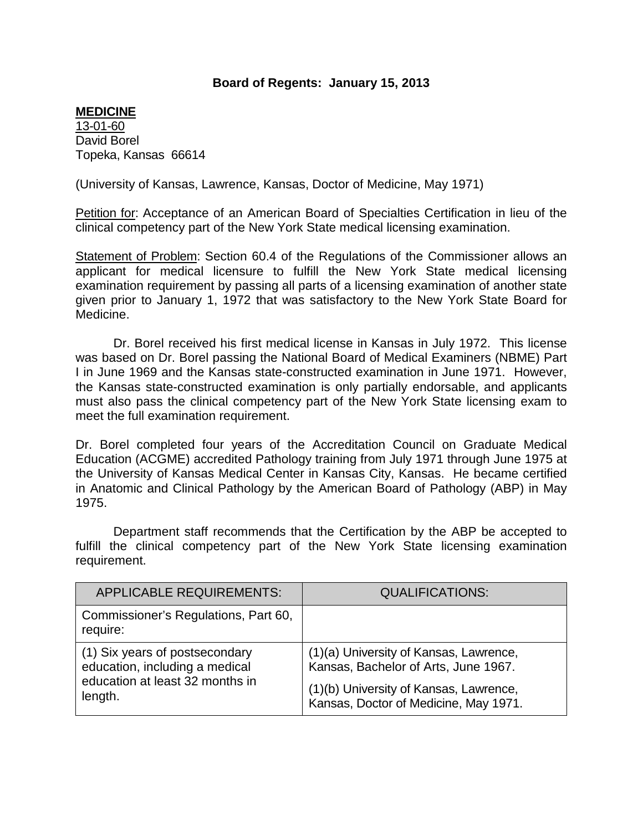#### **MEDICINE**

13-01-60 David Borel Topeka, Kansas 66614

(University of Kansas, Lawrence, Kansas, Doctor of Medicine, May 1971)

Petition for: Acceptance of an American Board of Specialties Certification in lieu of the clinical competency part of the New York State medical licensing examination.

Statement of Problem: Section 60.4 of the Regulations of the Commissioner allows an applicant for medical licensure to fulfill the New York State medical licensing examination requirement by passing all parts of a licensing examination of another state given prior to January 1, 1972 that was satisfactory to the New York State Board for Medicine.

Dr. Borel received his first medical license in Kansas in July 1972. This license was based on Dr. Borel passing the National Board of Medical Examiners (NBME) Part I in June 1969 and the Kansas state-constructed examination in June 1971. However, the Kansas state-constructed examination is only partially endorsable, and applicants must also pass the clinical competency part of the New York State licensing exam to meet the full examination requirement.

Dr. Borel completed four years of the Accreditation Council on Graduate Medical Education (ACGME) accredited Pathology training from July 1971 through June 1975 at the University of Kansas Medical Center in Kansas City, Kansas. He became certified in Anatomic and Clinical Pathology by the American Board of Pathology (ABP) in May 1975.

Department staff recommends that the Certification by the ABP be accepted to fulfill the clinical competency part of the New York State licensing examination requirement.

| <b>APPLICABLE REQUIREMENTS:</b>                                                                                | <b>QUALIFICATIONS:</b>                                                                                                                                            |
|----------------------------------------------------------------------------------------------------------------|-------------------------------------------------------------------------------------------------------------------------------------------------------------------|
| Commissioner's Regulations, Part 60,<br>require:                                                               |                                                                                                                                                                   |
| (1) Six years of postsecondary<br>education, including a medical<br>education at least 32 months in<br>length. | (1)(a) University of Kansas, Lawrence,<br>Kansas, Bachelor of Arts, June 1967.<br>(1)(b) University of Kansas, Lawrence,<br>Kansas, Doctor of Medicine, May 1971. |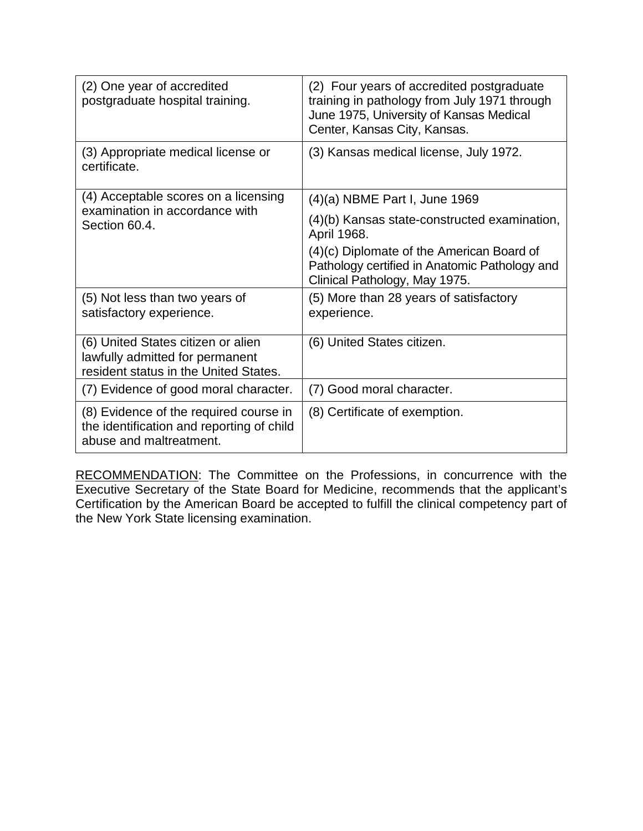| (2) One year of accredited<br>postgraduate hospital training.                                                  | (2) Four years of accredited postgraduate<br>training in pathology from July 1971 through<br>June 1975, University of Kansas Medical<br>Center, Kansas City, Kansas. |
|----------------------------------------------------------------------------------------------------------------|----------------------------------------------------------------------------------------------------------------------------------------------------------------------|
| (3) Appropriate medical license or<br>certificate.                                                             | (3) Kansas medical license, July 1972.                                                                                                                               |
| (4) Acceptable scores on a licensing<br>examination in accordance with<br>Section 60.4.                        | (4)(a) NBME Part I, June 1969                                                                                                                                        |
|                                                                                                                | (4)(b) Kansas state-constructed examination,<br>April 1968.                                                                                                          |
|                                                                                                                | (4)(c) Diplomate of the American Board of<br>Pathology certified in Anatomic Pathology and<br>Clinical Pathology, May 1975.                                          |
| (5) Not less than two years of<br>satisfactory experience.                                                     | (5) More than 28 years of satisfactory<br>experience.                                                                                                                |
| (6) United States citizen or alien<br>lawfully admitted for permanent<br>resident status in the United States. | (6) United States citizen.                                                                                                                                           |
| (7) Evidence of good moral character.                                                                          | (7) Good moral character.                                                                                                                                            |
| (8) Evidence of the required course in<br>the identification and reporting of child<br>abuse and maltreatment. | (8) Certificate of exemption.                                                                                                                                        |

RECOMMENDATION: The Committee on the Professions, in concurrence with the Executive Secretary of the State Board for Medicine, recommends that the applicant's Certification by the American Board be accepted to fulfill the clinical competency part of the New York State licensing examination.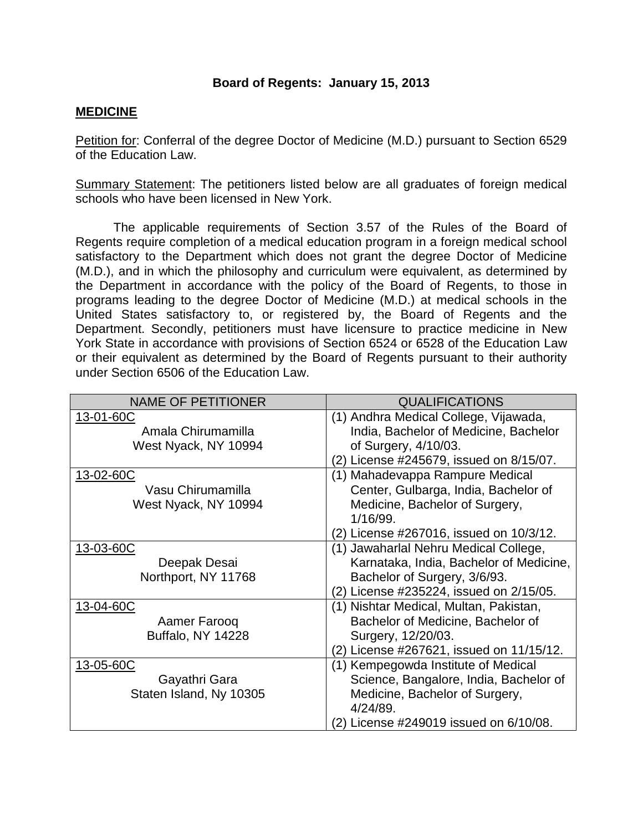#### **MEDICINE**

Petition for: Conferral of the degree Doctor of Medicine (M.D.) pursuant to Section 6529 of the Education Law.

Summary Statement: The petitioners listed below are all graduates of foreign medical schools who have been licensed in New York.

The applicable requirements of Section 3.57 of the Rules of the Board of Regents require completion of a medical education program in a foreign medical school satisfactory to the Department which does not grant the degree Doctor of Medicine (M.D.), and in which the philosophy and curriculum were equivalent, as determined by the Department in accordance with the policy of the Board of Regents, to those in programs leading to the degree Doctor of Medicine (M.D.) at medical schools in the United States satisfactory to, or registered by, the Board of Regents and the Department. Secondly, petitioners must have licensure to practice medicine in New York State in accordance with provisions of Section 6524 or 6528 of the Education Law or their equivalent as determined by the Board of Regents pursuant to their authority under Section 6506 of the Education Law.

| <b>NAME OF PETITIONER</b> | <b>QUALIFICATIONS</b>                    |
|---------------------------|------------------------------------------|
| 13-01-60C                 | (1) Andhra Medical College, Vijawada,    |
| Amala Chirumamilla        | India, Bachelor of Medicine, Bachelor    |
| West Nyack, NY 10994      | of Surgery, 4/10/03.                     |
|                           | (2) License #245679, issued on 8/15/07.  |
| 13-02-60C                 | (1) Mahadevappa Rampure Medical          |
| Vasu Chirumamilla         | Center, Gulbarga, India, Bachelor of     |
| West Nyack, NY 10994      | Medicine, Bachelor of Surgery,           |
|                           | 1/16/99.                                 |
|                           | (2) License #267016, issued on 10/3/12.  |
| 13-03-60C                 | (1) Jawaharlal Nehru Medical College,    |
| Deepak Desai              | Karnataka, India, Bachelor of Medicine,  |
| Northport, NY 11768       | Bachelor of Surgery, 3/6/93.             |
|                           | (2) License #235224, issued on 2/15/05.  |
| 13-04-60C                 | (1) Nishtar Medical, Multan, Pakistan,   |
| Aamer Farooq              | Bachelor of Medicine, Bachelor of        |
| <b>Buffalo, NY 14228</b>  | Surgery, 12/20/03.                       |
|                           | (2) License #267621, issued on 11/15/12. |
| 13-05-60C                 | (1) Kempegowda Institute of Medical      |
| Gayathri Gara             | Science, Bangalore, India, Bachelor of   |
| Staten Island, Ny 10305   | Medicine, Bachelor of Surgery,           |
|                           | 4/24/89.                                 |
|                           | (2) License #249019 issued on 6/10/08.   |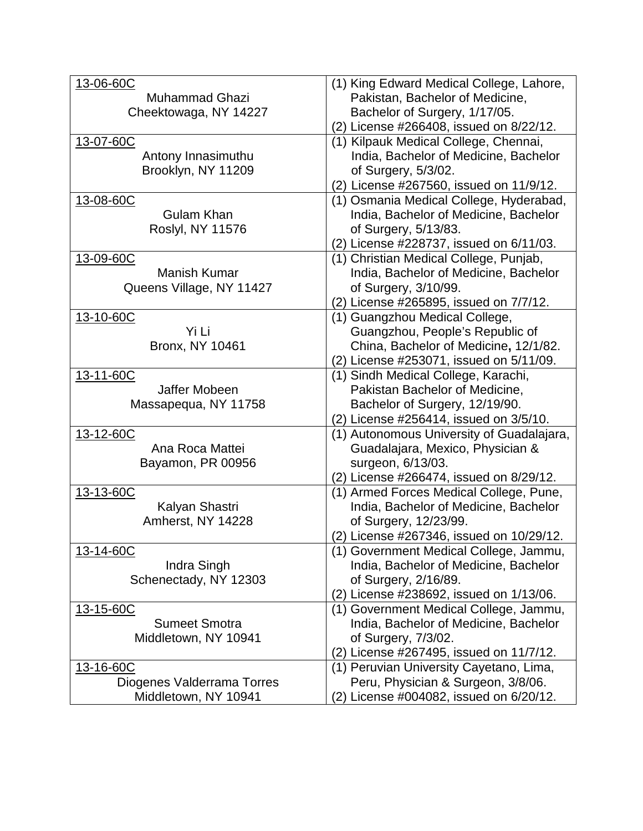| 13-06-60C                  | (1) King Edward Medical College, Lahore,  |
|----------------------------|-------------------------------------------|
| <b>Muhammad Ghazi</b>      | Pakistan, Bachelor of Medicine,           |
| Cheektowaga, NY 14227      | Bachelor of Surgery, 1/17/05.             |
|                            | (2) License #266408, issued on 8/22/12.   |
| 13-07-60C                  | (1) Kilpauk Medical College, Chennai,     |
| Antony Innasimuthu         | India, Bachelor of Medicine, Bachelor     |
| Brooklyn, NY 11209         | of Surgery, 5/3/02.                       |
|                            | (2) License #267560, issued on 11/9/12.   |
| 13-08-60C                  | (1) Osmania Medical College, Hyderabad,   |
| Gulam Khan                 | India, Bachelor of Medicine, Bachelor     |
| <b>Roslyl, NY 11576</b>    | of Surgery, 5/13/83.                      |
|                            | (2) License #228737, issued on 6/11/03.   |
| 13-09-60C                  | (1) Christian Medical College, Punjab,    |
| <b>Manish Kumar</b>        |                                           |
|                            | India, Bachelor of Medicine, Bachelor     |
| Queens Village, NY 11427   | of Surgery, 3/10/99.                      |
|                            | (2) License #265895, issued on 7/7/12.    |
| 13-10-60C                  | (1) Guangzhou Medical College,            |
| Yi Li                      | Guangzhou, People's Republic of           |
| <b>Bronx, NY 10461</b>     | China, Bachelor of Medicine, 12/1/82.     |
|                            | (2) License #253071, issued on 5/11/09.   |
| 13-11-60C                  | (1) Sindh Medical College, Karachi,       |
| Jaffer Mobeen              | Pakistan Bachelor of Medicine,            |
| Massapequa, NY 11758       | Bachelor of Surgery, 12/19/90.            |
|                            | (2) License #256414, issued on 3/5/10.    |
| 13-12-60C                  | (1) Autonomous University of Guadalajara, |
| Ana Roca Mattei            | Guadalajara, Mexico, Physician &          |
| Bayamon, PR 00956          | surgeon, 6/13/03.                         |
|                            | (2) License #266474, issued on 8/29/12.   |
| 13-13-60C                  | (1) Armed Forces Medical College, Pune,   |
| Kalyan Shastri             | India, Bachelor of Medicine, Bachelor     |
| Amherst, NY 14228          | of Surgery, 12/23/99.                     |
|                            | (2) License #267346, issued on 10/29/12.  |
| 13-14-60C                  | (1) Government Medical College, Jammu,    |
| Indra Singh                | India, Bachelor of Medicine, Bachelor     |
| Schenectady, NY 12303      | of Surgery, 2/16/89.                      |
|                            |                                           |
|                            | (2) License #238692, issued on 1/13/06.   |
| 13-15-60C                  | (1) Government Medical College, Jammu,    |
| <b>Sumeet Smotra</b>       | India, Bachelor of Medicine, Bachelor     |
| Middletown, NY 10941       | of Surgery, 7/3/02.                       |
|                            | (2) License #267495, issued on 11/7/12.   |
| 13-16-60C                  | (1) Peruvian University Cayetano, Lima,   |
| Diogenes Valderrama Torres | Peru, Physician & Surgeon, 3/8/06.        |
| Middletown, NY 10941       | (2) License #004082, issued on 6/20/12.   |